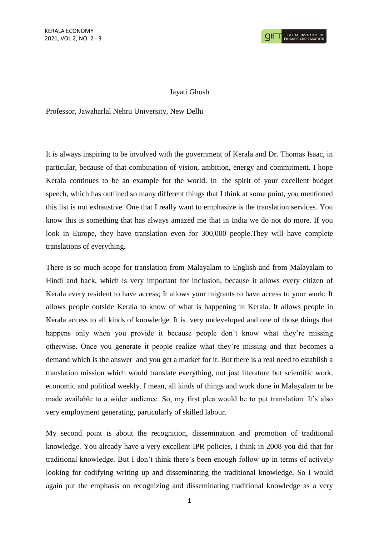## Jayati Ghosh

Professor, Jawaharlal Nehru University, New Delhi

It is always inspiring to be involved with the government of Kerala and Dr. Thomas Isaac, in particular, because of that combination of vision, ambition, energy and commitment. I hope Kerala continues to be an example for the world. In the spirit of your excellent budget speech, which has outlined so many different things that I think at some point, you mentioned this list is not exhaustive. One that I really want to emphasize is the translation services. You know this is something that has always amazed me that in India we do not do more. If you look in Europe, they have translation even for 300,000 people.They will have complete translations of everything.

There is so much scope for translation from Malayalam to English and from Malayalam to Hindi and back, which is very important for inclusion, because it allows every citizen of Kerala every resident to have access; It allows your migrants to have access to your work; It allows people outside Kerala to know of what is happening in Kerala. It allows people in Kerala access to all kinds of knowledge. It is very undeveloped and one of those things that happens only when you provide it because people don't know what they're missing otherwise. Once you generate it people realize what they're missing and that becomes a demand which is the answer and you get a market for it. But there is a real need to establish a translation mission which would translate everything, not just literature but scientific work, economic and political weekly. I mean, all kinds of things and work done in Malayalam to be made available to a wider audience. So, my first plea would be to put translation. It's also very employment generating, particularly of skilled labour.

My second point is about the recognition, dissemination and promotion of traditional knowledge. You already have a very excellent IPR policies, I think in 2008 you did that for traditional knowledge. But I don't think there's been enough follow up in terms of actively looking for codifying writing up and disseminating the traditional knowledge. So I would again put the emphasis on recognizing and disseminating traditional knowledge as a very